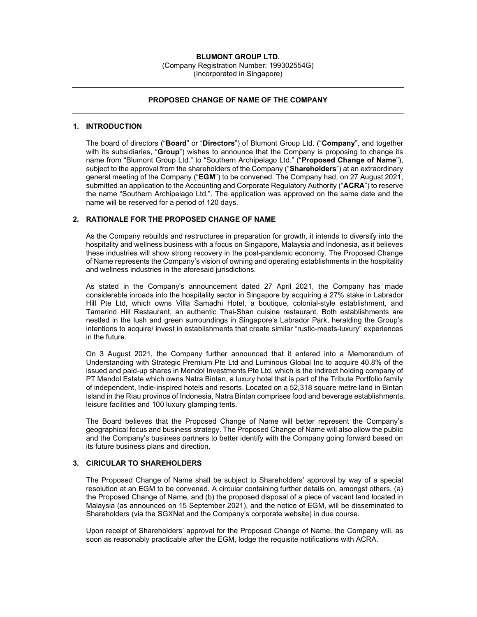## BLUMONT GROUP LTD. (Company Registration Number: 199302554G)

(Incorporated in Singapore)

## PROPOSED CHANGE OF NAME OF THE COMPANY

## 1. INTRODUCTION

The board of directors ("Board" or "Directors") of Blumont Group Ltd. ("Company", and together with its subsidiaries, "Group") wishes to announce that the Company is proposing to change its name from "Blumont Group Ltd." to "Southern Archipelago Ltd." ("Proposed Change of Name"), subject to the approval from the shareholders of the Company ("Shareholders") at an extraordinary general meeting of the Company ("EGM") to be convened. The Company had, on 27 August 2021, submitted an application to the Accounting and Corporate Regulatory Authority ("ACRA") to reserve the name "Southern Archipelago Ltd.". The application was approved on the same date and the name will be reserved for a period of 120 days.

# 2. RATIONALE FOR THE PROPOSED CHANGE OF NAME

As the Company rebuilds and restructures in preparation for growth, it intends to diversify into the hospitality and wellness business with a focus on Singapore, Malaysia and Indonesia, as it believes these industries will show strong recovery in the post-pandemic economy. The Proposed Change of Name represents the Company's vision of owning and operating establishments in the hospitality and wellness industries in the aforesaid jurisdictions.

As stated in the Company's announcement dated 27 April 2021, the Company has made considerable inroads into the hospitality sector in Singapore by acquiring a 27% stake in Labrador Hill Pte Ltd, which owns Villa Samadhi Hotel, a boutique, colonial-style establishment, and Tamarind Hill Restaurant, an authentic Thai-Shan cuisine restaurant. Both establishments are nestled in the lush and green surroundings in Singapore's Labrador Park, heralding the Group's intentions to acquire/ invest in establishments that create similar "rustic-meets-luxury" experiences in the future.

On 3 August 2021, the Company further announced that it entered into a Memorandum of Understanding with Strategic Premium Pte Ltd and Luminous Global Inc to acquire 40.8% of the issued and paid-up shares in Mendol Investments Pte Ltd, which is the indirect holding company of PT Mendol Estate which owns Natra Bintan, a luxury hotel that is part of the Tribute Portfolio family of independent, Indie-inspired hotels and resorts. Located on a 52,318 square metre land in Bintan island in the Riau province of Indonesia, Natra Bintan comprises food and beverage establishments, leisure facilities and 100 luxury glamping tents.

The Board believes that the Proposed Change of Name will better represent the Company's geographical focus and business strategy. The Proposed Change of Name will also allow the public and the Company's business partners to better identify with the Company going forward based on its future business plans and direction.

# 3. CIRICULAR TO SHAREHOLDERS

The Proposed Change of Name shall be subject to Shareholders' approval by way of a special resolution at an EGM to be convened. A circular containing further details on, amongst others, (a) the Proposed Change of Name, and (b) the proposed disposal of a piece of vacant land located in Malaysia (as announced on 15 September 2021), and the notice of EGM, will be disseminated to Shareholders (via the SGXNet and the Company's corporate website) in due course.

Upon receipt of Shareholders' approval for the Proposed Change of Name, the Company will, as soon as reasonably practicable after the EGM, lodge the requisite notifications with ACRA.